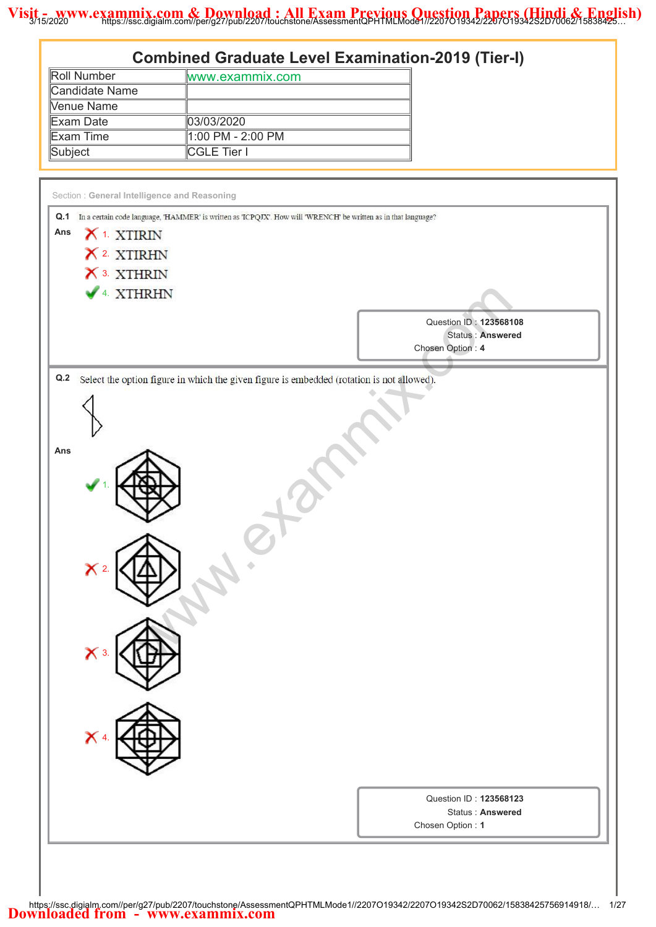| <b>Roll Number</b>                             | <b>Combined Graduate Level Examination-2019 (Tier-I)</b>                                                           |
|------------------------------------------------|--------------------------------------------------------------------------------------------------------------------|
|                                                | www.exammix.com                                                                                                    |
| <b>Candidate Name</b>                          |                                                                                                                    |
| Venue Name                                     |                                                                                                                    |
| <b>Exam Date</b>                               | 03/03/2020                                                                                                         |
| <b>Exam Time</b>                               | 1:00 PM - 2:00 PM                                                                                                  |
| Subject                                        | <b>CGLE Tier I</b>                                                                                                 |
|                                                |                                                                                                                    |
| Section: General Intelligence and Reasoning    |                                                                                                                    |
|                                                | Q.1 In a certain code language, 'HAMMER' is written as 'ICPQJX'. How will 'WRENCH' be written as in that language? |
| X <sup>1.</sup> XTIRIN<br>Ans                  |                                                                                                                    |
| X 2 XTIRHN                                     |                                                                                                                    |
| X 3. XTHRIN                                    |                                                                                                                    |
|                                                |                                                                                                                    |
| 4 XTHRHN                                       |                                                                                                                    |
|                                                |                                                                                                                    |
|                                                | Question ID: 123568108                                                                                             |
|                                                | <b>Status: Answered</b><br>Chosen Option: 4                                                                        |
|                                                |                                                                                                                    |
|                                                |                                                                                                                    |
| $\boldsymbol{\times}$<br>$\boldsymbol{\times}$ |                                                                                                                    |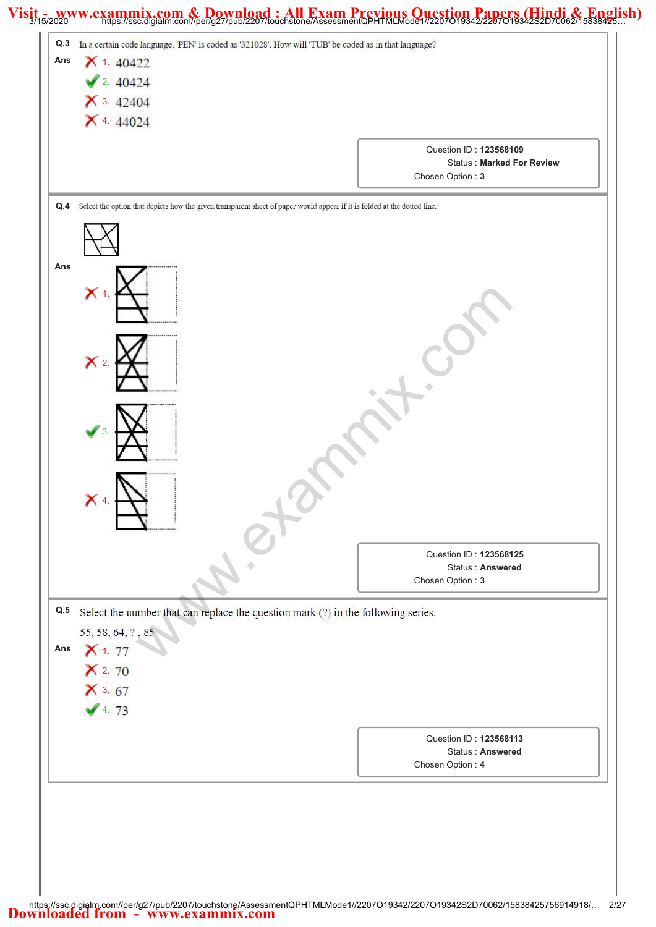# Visit 72020 www.exammix.com & Download: All Exam Previous Question Papers (Hindi & English)

| 2.40424<br>$\times$ 3. 42404<br>$X$ 4. 44024                                                                                 |                                                                                |
|------------------------------------------------------------------------------------------------------------------------------|--------------------------------------------------------------------------------|
|                                                                                                                              | Question ID: 123568109<br><b>Status: Marked For Review</b><br>Chosen Option: 3 |
| Q.4 Select the option that depicts how the given transparent sheet of paper would appear if it is folded at the dotted line. |                                                                                |
| Ans                                                                                                                          |                                                                                |
| $\chi_1$                                                                                                                     |                                                                                |
|                                                                                                                              |                                                                                |
| $\mathsf{X}$ 2.                                                                                                              |                                                                                |
|                                                                                                                              |                                                                                |
|                                                                                                                              |                                                                                |
| ⌒                                                                                                                            |                                                                                |
|                                                                                                                              | Question ID: 123568125<br>Status: Answered<br>Chosen Option: 3                 |
| Q.5<br>Select the number that can replace the question mark (?) in the following series.<br>55, 58, 64, ?, 85                |                                                                                |
| $X$ 1. 77<br>Ans<br>$X$ 2. 70                                                                                                |                                                                                |
| $X$ 3. 67<br>4.73                                                                                                            |                                                                                |
|                                                                                                                              | Question ID: 123568113<br><b>Status: Answered</b>                              |
|                                                                                                                              | Chosen Option: 4                                                               |

L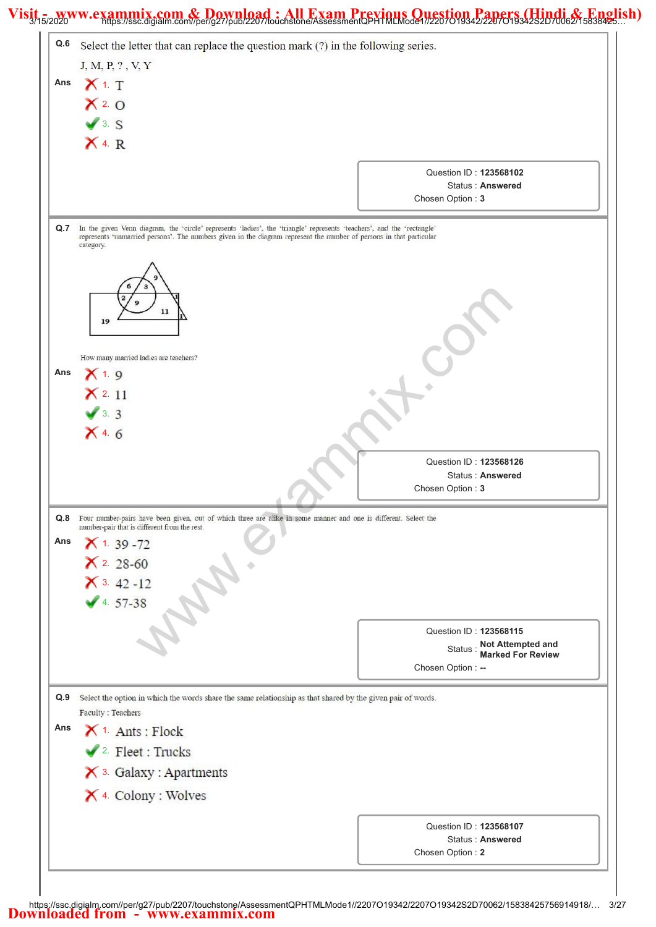#### Visit<sub>5/2020</sub> www.exammix.com & Download: All Exam Previous Question Papers (Hindi & English)

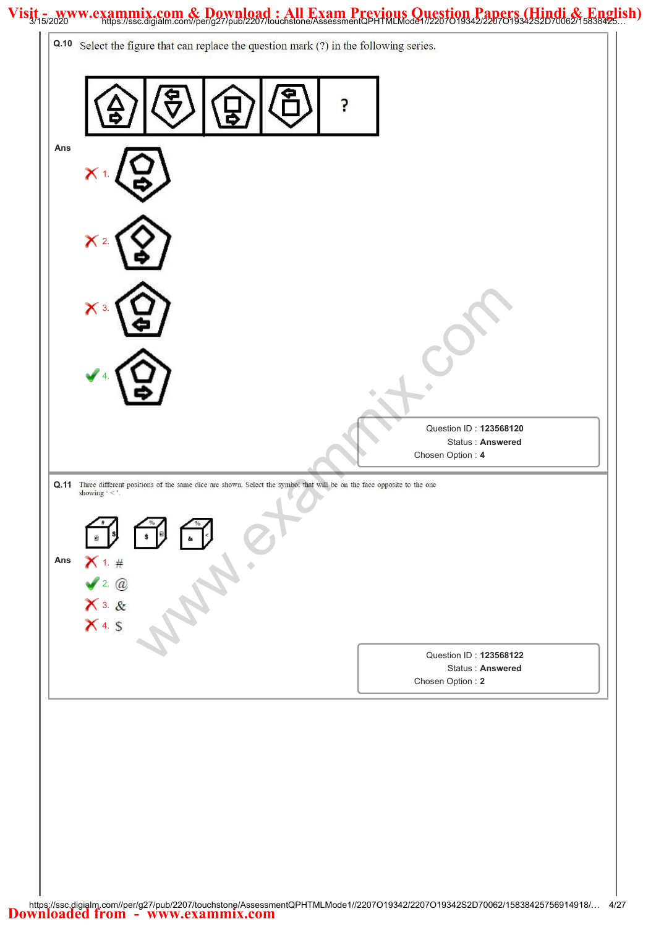#### Visit 5/2020 www.exammix.com & Download : All Exam Previous Question Papers (Hindi & English)

| Q.10 Select the figure that can replace the question mark (?) in the following series.                                                                                     |                                                                |
|----------------------------------------------------------------------------------------------------------------------------------------------------------------------------|----------------------------------------------------------------|
|                                                                                                                                                                            |                                                                |
| Ans<br>$\boldsymbol{\times}$                                                                                                                                               |                                                                |
| $\mathsf{X}$ 2.                                                                                                                                                            |                                                                |
| $\mathsf{X}$ 3.                                                                                                                                                            |                                                                |
|                                                                                                                                                                            | Question ID: 123568120                                         |
|                                                                                                                                                                            | Status: Answered<br>Chosen Option: 4                           |
|                                                                                                                                                                            |                                                                |
| Q.11 Three different positions of the same dice are shown. Select the symbol that will be on the face opposite to the one showing $\cdot$ < '.<br>\$<br>@<br>Ans<br>X 1. # |                                                                |
| $x^2$ . @<br>$x^3$ &<br>$x^4$ \$                                                                                                                                           | Question ID: 123568122<br>Status: Answered<br>Chosen Option: 2 |
|                                                                                                                                                                            |                                                                |
|                                                                                                                                                                            |                                                                |
|                                                                                                                                                                            |                                                                |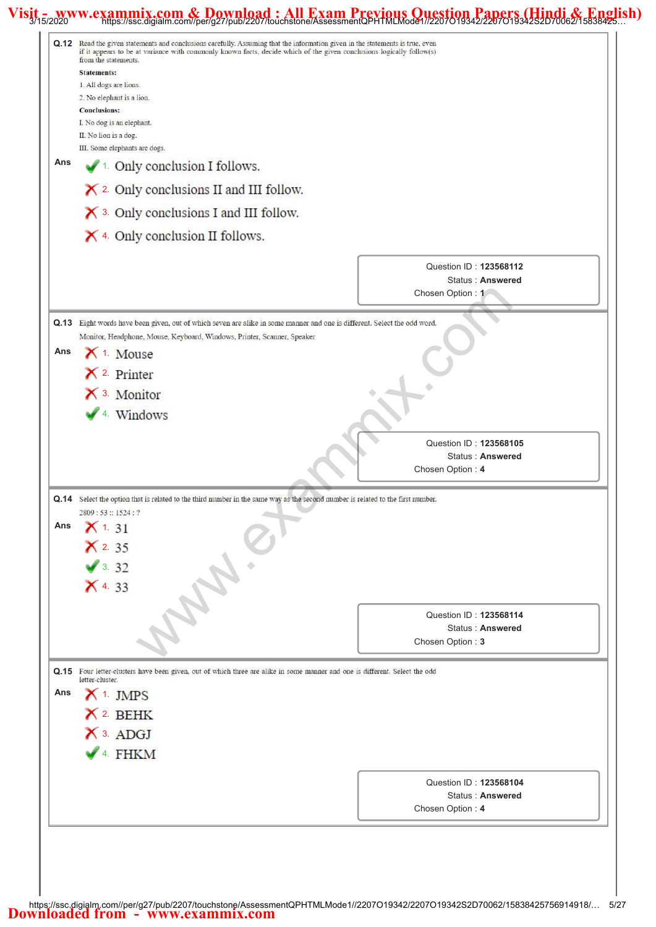#### Visit<sub>5/2020</sub> www.exammix.com & Download: All Exam Previous Question Papers (Hindi & English)

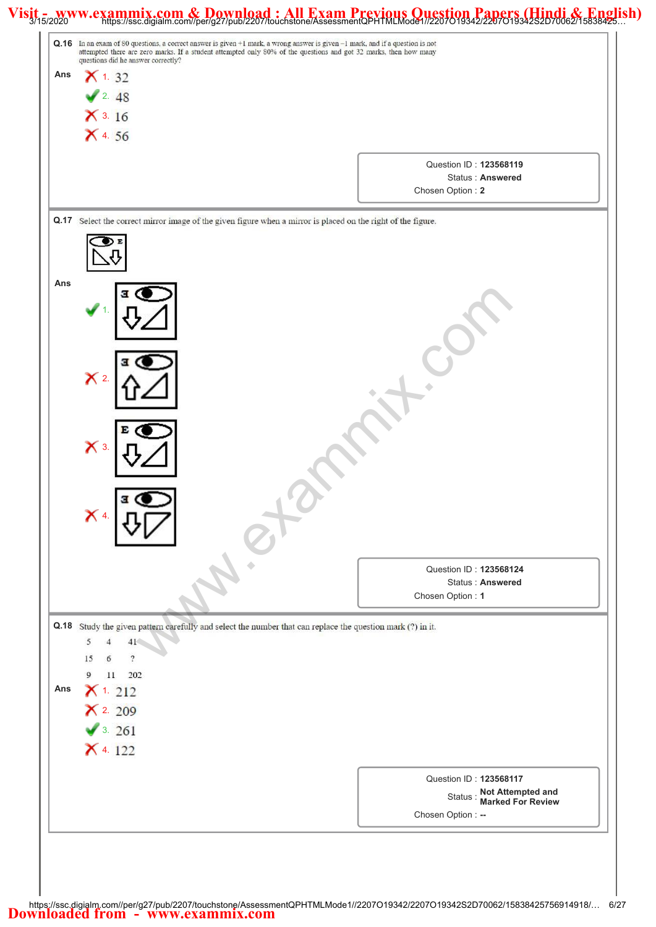## Visit 72020 www.exammix.com & Download: All Exam Previous Question Papers (Hindi & English)

|                                           | Q.16 In an exam of 80 questions, a correct answer is given +1 mark, a wrong answer is given -1 mark, and if a question is not<br>attempted there are zero marks. If a student attempted only 80% of the questions and got 32 marks, then how many |                                                                      |
|-------------------------------------------|---------------------------------------------------------------------------------------------------------------------------------------------------------------------------------------------------------------------------------------------------|----------------------------------------------------------------------|
| questions did he answer correctly?<br>Ans |                                                                                                                                                                                                                                                   |                                                                      |
| $X$ 1. 32                                 |                                                                                                                                                                                                                                                   |                                                                      |
| 2.48<br>$X$ 3. 16                         |                                                                                                                                                                                                                                                   |                                                                      |
| $X$ 4.56                                  |                                                                                                                                                                                                                                                   |                                                                      |
|                                           |                                                                                                                                                                                                                                                   |                                                                      |
|                                           |                                                                                                                                                                                                                                                   | Question ID: 123568119<br>Status: Answered                           |
|                                           |                                                                                                                                                                                                                                                   | Chosen Option: 2                                                     |
|                                           | Q.17 Select the correct mirror image of the given figure when a mirror is placed on the right of the figure.                                                                                                                                      |                                                                      |
|                                           |                                                                                                                                                                                                                                                   |                                                                      |
|                                           |                                                                                                                                                                                                                                                   |                                                                      |
| Ans                                       |                                                                                                                                                                                                                                                   |                                                                      |
|                                           |                                                                                                                                                                                                                                                   |                                                                      |
|                                           |                                                                                                                                                                                                                                                   |                                                                      |
|                                           |                                                                                                                                                                                                                                                   |                                                                      |
|                                           |                                                                                                                                                                                                                                                   |                                                                      |
| $\mathsf{X}$ 2.                           |                                                                                                                                                                                                                                                   |                                                                      |
|                                           |                                                                                                                                                                                                                                                   |                                                                      |
|                                           |                                                                                                                                                                                                                                                   |                                                                      |
| $\mathsf{X}$ 3.                           |                                                                                                                                                                                                                                                   |                                                                      |
|                                           |                                                                                                                                                                                                                                                   |                                                                      |
|                                           |                                                                                                                                                                                                                                                   |                                                                      |
| я<br>$\mathsf{X}$ 4                       |                                                                                                                                                                                                                                                   |                                                                      |
|                                           |                                                                                                                                                                                                                                                   |                                                                      |
|                                           |                                                                                                                                                                                                                                                   |                                                                      |
|                                           |                                                                                                                                                                                                                                                   | Question ID: 123568124<br><b>Status: Answered</b>                    |
|                                           |                                                                                                                                                                                                                                                   | Chosen Option: 1                                                     |
|                                           | Q.18 Study the given pattern carefully and select the number that can replace the question mark (?) in it.                                                                                                                                        |                                                                      |
| 5<br>41                                   |                                                                                                                                                                                                                                                   |                                                                      |
| $\overline{?}$<br>15                      |                                                                                                                                                                                                                                                   |                                                                      |
| 202<br>9<br>11<br>Ans<br>$X$ 1. 212       |                                                                                                                                                                                                                                                   |                                                                      |
| $X$ 2. 209                                |                                                                                                                                                                                                                                                   |                                                                      |
| 3.261                                     |                                                                                                                                                                                                                                                   |                                                                      |
| $X$ 4. 122                                |                                                                                                                                                                                                                                                   |                                                                      |
|                                           |                                                                                                                                                                                                                                                   |                                                                      |
|                                           |                                                                                                                                                                                                                                                   | Question ID: 123568117                                               |
|                                           |                                                                                                                                                                                                                                                   | Status : Not Attempted and<br>Marked For Review<br>Chosen Option: -- |
|                                           |                                                                                                                                                                                                                                                   |                                                                      |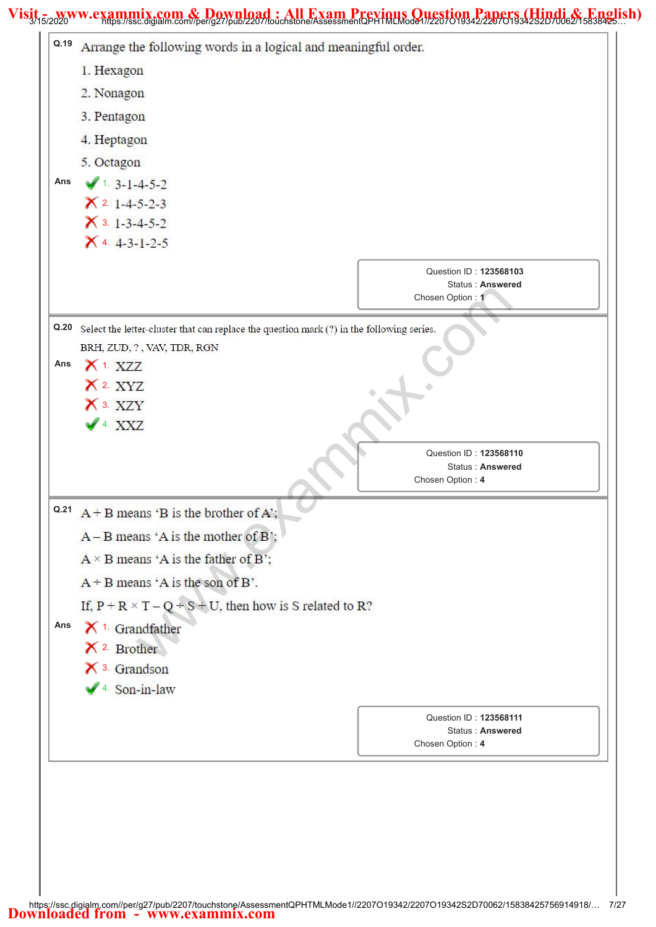# Visit 7/15/2020 www.exammix.com & Download: All Exam Previous Question Papers (Hindi & English)

| Q.19 | Arrange the following words in a logical and meaningful order.                            |
|------|-------------------------------------------------------------------------------------------|
|      | 1. Hexagon                                                                                |
|      | 2. Nonagon                                                                                |
|      | 3. Pentagon                                                                               |
|      | 4. Heptagon                                                                               |
|      | 5. Octagon                                                                                |
| Ans  | $1.3 - 1 - 4 - 5 - 2$                                                                     |
|      | $X$ 2. 1-4-5-2-3                                                                          |
|      | $\times$ 3. 1-3-4-5-2                                                                     |
|      | $X$ 4. 4-3-1-2-5                                                                          |
|      | Question ID: 123568103<br>Status: Answered<br>Chosen Option: 1                            |
| Q.20 | Select the letter-cluster that can replace the question mark (?) in the following series. |
|      | BRH, ZUD, ?, VAV, TDR, RGN                                                                |
| Ans  | $X$ 1. XZZ                                                                                |
|      | $X$ 2. $XYZ$                                                                              |
|      | X 3. XZY                                                                                  |
|      | $4$ XXZ                                                                                   |
|      | Question ID: 123568110<br><b>Status: Answered</b><br>Chosen Option: 4                     |
|      | $A + B$ means 'B is the brother of A';                                                    |
|      | $A - B$ means 'A is the mother of B';                                                     |
|      | $A \times B$ means 'A is the father of B';                                                |
|      | $A + B$ means 'A is the son of B'.                                                        |
|      | If, $P + R \times T - Q \div S + U$ , then how is S related to R?                         |
| Ans  | $X$ <sup>1.</sup> Grandfather                                                             |
|      | $X^2$ Brother                                                                             |
|      | $\mathsf{\times}$ 3. Grandson                                                             |
|      | $\sqrt{4}$ Son-in-law                                                                     |
|      |                                                                                           |
|      | Question ID: 123568111<br>Status: Answered                                                |
|      | Chosen Option: 4                                                                          |
|      |                                                                                           |
|      |                                                                                           |
|      |                                                                                           |
|      |                                                                                           |